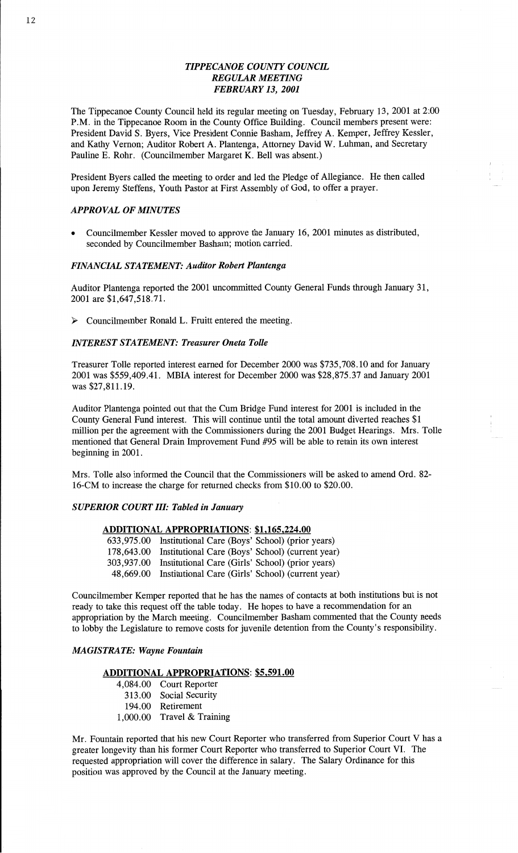# *TIPPECANOE COUNTY COUNCH. REGULAR MEETING FEBRUARY* 13, *2001*

The Tippecanoe County Council held its regular meeting on Tuesday, February 13, 2001 at **2:00**  P.M. in the **Tippecanoe Room** in the County Office Building. Council members **present** were: President **David** S. Byers, **Vice** President Connie **Basham,** Jeffrey A. Kemper, Jeffrey Kessler, and **Kathy** Vernon; Auditor Robert A. Plantenga, Attorney David W. **Luhman,** and Secretary Pauline E. **Rohr.** (Councilmember Margaret K. Bell was absent.)

President Byers called the meeting to order and led the Pledge of Allegiance. He then called upon Jeremy Steffens, Youth Pastor at First Assembly of God, to offer a prayer.

# *APPROVAL* OF *MINUTES*

**0** Councilmember Kessler moved to approve the January 16, 2001 **minutes** as distributed, seconded by Councilmember **Basham;** motion carried.

# *FINANCIAL STATEMENT: Auditor Robert Plantenga*

Auditor Plantenga **reported** the 2001 uncommitted County **General Funds through** January 31, 2001 are \$1,647,518.71.

> Councilmember **Ronald** L. **Fruitt entered** the meeting.

# *INTEREST STATEMENT: Treasurer Oneta Tolle*

Treasurer Tolle reported interest earned for December 2000 was \$735,708.10 and for January <sup>2001</sup>was \$559,409.41. **MBIA** interest for December 2000 was \$28,875.37 and January <sup>2001</sup> was **\$27,811.19.** 

Auditor **Plantenga** pointed out that the Cum Bridge Fund interest for 2001 is included in the County General Fund interest. **This** will continue **until** the total **amount** diverted reaches \$1 million per the agreement with the Commissioners during the 2001 Budget Hearings. Mrs. Tolle mentioned **that** General Drain Improvement **Fund** #95 will be able to retain its own interest beginning in 2001.

Mrs. Tolle **also** informed the Council **that** the **Commissioners** will be asked to **amend** 0rd. 82- **16-CM** to increase the charge for returned checks from \$10.00 to \$20.00.

# *SUPERIOR COURT III: Tabled* in *January*

## **ADDITIONAL APPROPRIATIONS: \$1,165,224.00**

633,975.00 **Institutional** Care (Boys' School) (prior years) **178,643.00 Institutional** Care (Boys' School) (current year) **303,937.00 Institutional** Care (Girls' School) (prior years) 48,669.00 Institutional Care (Girls' School) (current year)

Councilmember Kemper reported **that** he has the names of contacts at both **institutions** but is not ready to take **this** request off the table today. He hopes to have a recommendation for an appropriation by the March meeting. Councilmember Basham commented that the County needs to lobby the Legislature to remove costs for juvenile detention from the County's responsibility.

# *MAGISTRATE: Wayne Fountain*

#### **ADDITIONAL APPROPRIATIONS: \$5,591.00**

4,084.00 Court Reporter 313.00 Social Security 194.00 Retirement 1,000.00 Travel & **Training** 

Mr. Fountain reported that his new Court Reporter who transferred **from** Superior Court V has **a**  greater longevity **than** his former **Court** Reporter who transferred to Superior Court VI. The requested **appropriation** will cover the difference in salary. The Salary Ordinance for **this**  position was approved by the Council at the January meeting.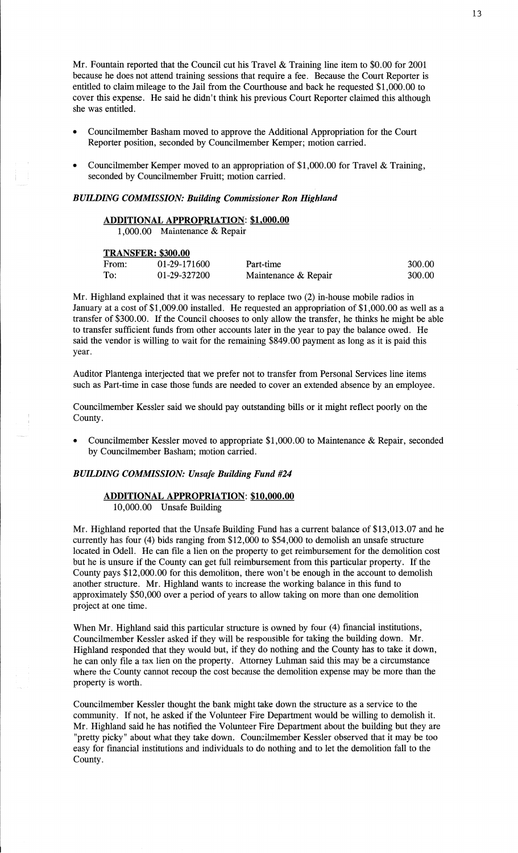Mr. Fountain reported that the Council cut his Travel & **Training** line item to \$0.00 for <sup>2001</sup> because he does not attend **training** sessions that require **a** fee. Because the Court Reporter is entitled to claim mileage to the Jail from the Courthouse and back he requested \$1,000.00 to cover this expense. He **said** he didn't **think** his previous Court Reporter claimed this although she was entitled.

- **o** Councilmember **Basham** moved to approve the **Additional** Appropriation for the Court Reporter position, seconded by Councilmember Kemper; **motion** carried.
- **0** Councilmember Kemper moved to an appropriation of \$1,000.00 for Travel & **Training,**  seconded by Councilmember Fruitt; motion carried.

# *BUILDING COMMISSION: Building Commissioner* Ron *Highland*

# **ADDITIONAL APPROPRIATION: \$1,000.00**

1,000.00 Maintenance & Repair

#### **TRANSFER: 300.00**

| THE REPORT OF PROPERTY |              |                      |        |  |  |  |
|------------------------|--------------|----------------------|--------|--|--|--|
| From:                  | 01-29-171600 | Part-time            | 300.00 |  |  |  |
| To:                    | 01-29-327200 | Maintenance & Repair | 300.00 |  |  |  |

Mr. Highland explained that it was necessary to replace two (2) **in—house** mobile radios in January at a cost of \$1,009.00 installed. He requested an appropriation of \$1,000.00 as well as **a**  transfer of \$300.00. If the Council chooses to only allow the transfer, he thinks he might be able to transfer sufficient **funds from** other accounts later in the year to pay the balance owed. He said the **vendor** is willing to wait for the remaining \$849.00 payment as long as it is paid this year.

Auditor Plantenga interjected **that** we prefer not to transfer from Personal Services line items **such** as Part-time in case those funds are needed to cover an **extended** absence by an employee.

Councilmember Kessler said we should pay outstanding bills or it might reflect poorly on the County.

**0** Councilmember Kessler moved to appropriate \$1,000.00 to Maintenance & Repair, seconded by Councilmember **Basham; motion** carried.

# *BUILDING COMMISSION: Unsafe Building Fund* #24

# **ADDITIONAL APPROPRIATION: \$10,000.00**  10,000.00 Unsafe Building

Mr. Highland reported **that** the **Unsafe** Building Fund has **a** current **balance** of \$13,013.07 and he currently has four (4) bids ranging from \$12,000 to \$54,000 to demolish an unsafe structure located in Odell. He can file a lien on the property to get reimbursement for the demolition cost but he is unsure if the County can get full reimbursement from **this** particular property. If the County pays \$12,000.00 for this demolition, there won't be enough in the account to **demolish**  another structure. Mr. Highland wants to increase the working balance in this **fund** to approximately \$50,000 over a period of years to allow taking on more than one demolition project at one time.

When Mr. Highland said this particular structure is owned by four  $(4)$  financial institutions, Councilmember Kessler asked if they will be responsible for taking the building down. Mr. Highland responded that they would but, if they do nothing and the County has to take it down, he can only file a tax lien on the property. Attorney Luhman said this may be a circumstance where the County cannot recoup the cost because the demolition expense may be more than the property is worth.

Councilmember Kessler **thought** the **bank** might take down the structure as **a** service to the community. If not, he asked if the Volunteer Fire Department would be willing to **demolish** it. Mr. Highland said he has notified the Volunteer Fire Department about the building but they are "pretty picky" about What they take down. Councilmember Kessler observed **that** it may be too easy for financial institutions and individuals to do nothing and to let the demolition fall to the County.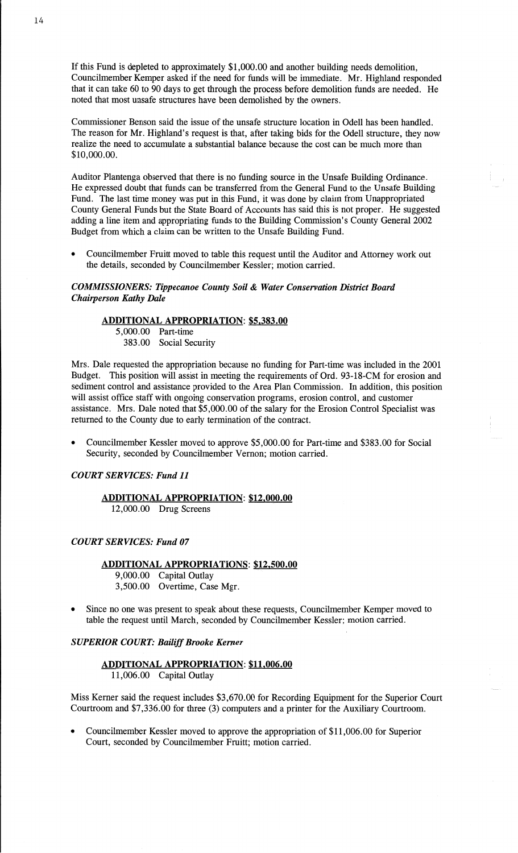If this Fund is depleted to approximately \$1,000.00 and another building needs demolition, Councilmember Kemper asked if the need for **funds** will be immediate. Mr. Highland responded that it can take 60 to 90 days to get through the process before demolition funds are needed. He noted that **most** unsafe structures **have** been demolished by the owners.

Commissioner **Benson** said the issue of the unsafe structure location in Odell has been handled. The reason for Mr. Highland's request is **that,** after **taking** bids for the Odell structure, they now realize the need to accumulate a substantial balance because the cost can be much more than \$10,000.00.

**Auditor** Plantenga observed that there is no funding source in the Unsafe Building Ordinance. *<sup>1</sup>* He expressed doubt that funds can be transferred from the General Fund to the Unsafe Building Fund. The **last** time money was put in this Fund, it was done by claim from Unappropriated County General Funds but the State Board of Accounts has said **this** is not proper. He suggested adding a line item and appropriating **funds** to the Building **Commission's** County General 2002 Budget from which **a** claim can be written to the Unsafe **Building** Fund.

**<sup>0</sup>**Councilmember Fruitt moved to table this request until the Auditor and Attorney work out the details, seconded by Councilmember Kessler; motion carried.

# *COMMISSIONERS: Tippecanoe County Soil & Water Conservation District Board Chairperson Kathy Dale*

# **ADDITIONAL APPROPRIATION: \$5,383.00**

5,000.00 Part-time 383.00 Social Security

**Mrs.** Dale requested the **appropriation** because no funding for Part-time was included in the 2001 Budget. **This** position will **assist** in meeting the requirements of 0rd. 93-18-CM for erosion and sediment control and assistance provided to the Area Plan Commission. In addition, this position will assist office staff with ongoing conservation programs, erosion control, and customer assistance. Mrs. Dale noted that \$5,000.00 of the salary for the Erosion Control Specialist was returned to the County due to early termination of the contract.

**0** Councilmember Kessler moved to approve \$5,000.00 for Part-time and \$383.00 for Social Security, seconded by Councilmember Vernon; motion carried.

# *COURT SERVICES: Fund* 11

# **ADDITIONAL APPROPRIATION: \$12,000.00**

12,000.00 Drug Screens

# *COURT SERVICES: Fund* 07

# **ADDITIONAL APPROPRIATIONS: \$12,500.00**

9,000.00 Capital Outlay 3,500.00 Overtime, Case Mgr.

Since no one was present to speak about these requests, Councilmember Kemper moved to table the request **until** March, seconded by Councilmember Kessler; motion carried.

#### *SUPERIOR COURT: Bailiff Brooke Kemer*

# **ADDITIONAL APPROPRIATION: \$11,006.00** 11,006.00 **Capital** Outlay

Miss Kerner said the request includes \$3,670.00 for Recording Equipment for the Superior Court Courtroom and \$7,336.00 for three (3) computers and a printer for the Auxiliary Courtroom.

Councilmember Kessler moved to approve the appropriation of \$11,006.00 for Superior **Court,** seconded by Councilmember Fruitt; motion carried.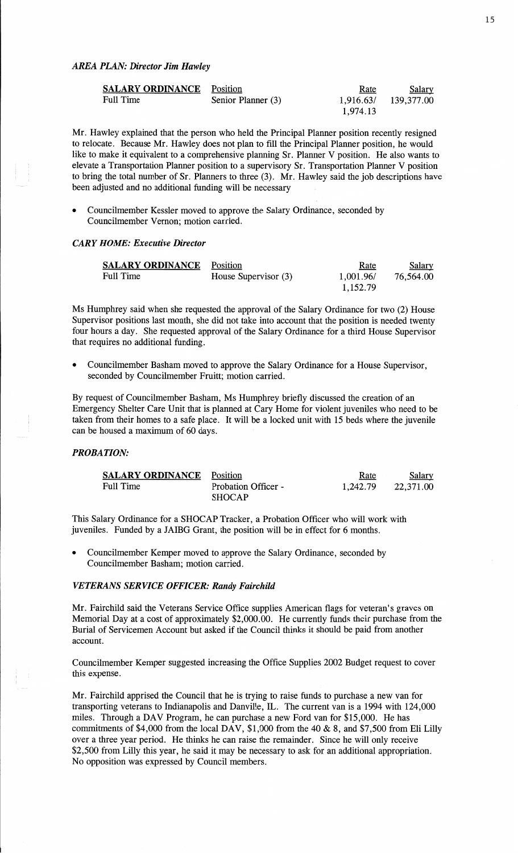| <b>SALARY ORDINANCE</b> Position |                    | Rate      | <u>Salary</u> |
|----------------------------------|--------------------|-----------|---------------|
| Full Time                        | Senior Planner (3) | 1,916.63/ | 139,377.00    |
|                                  |                    | 1,974.13  |               |

Mr. Hawley explained that the person who held the Principal Planner position recently resigned to relocate. Because Mr. Hawley does not plan to fill the Principal Planner position, he would like to make it equivalent to a comprehensive planning Sr. Planner V position. He also wants to elevate a Transportation Planner position to a supervisory Sr. Transportation Planner V **position**  to bring the **total** number of Sr. Planners to three (3). Mr. Hawley said the job descriptions have been adjusted and no **additional** funding will be necessary

**<sup>0</sup>**Councilmember Kessler moved to approve the Salary Ordinance, seconded by Councilmember Vernon; **motion** carried.

# *CARY HOME: Executive Director*

| <b>SALARY ORDINANCE</b> | Position             | <u>Rate</u> | <u>Salary</u> |
|-------------------------|----------------------|-------------|---------------|
| Full Time               | House Supervisor (3) | 1,001.96/   | 76,564.00     |
|                         |                      | 1.152.79    |               |

Ms Humphrey said when she requested the approval of the Salary Ordinance for two (2) House Supervisor positions last month, she did not take into account **that** the position is needed twenty four hours a day. She requested approval of the Salary Ordinance for a third House Supervisor that requires no additional funding.

**<sup>0</sup>**Councilmember **Basham** moved to approve the Salary Ordinance for a House Supervisor, seconded by Councilmember Fruitt; motion carried.

By request of Councilmember **Basham,** Ms Humphrey briefly discussed the **creation** of an Emergency Shelter Care Unit that is planned at Cary Home for Violent juveniles who need to be taken from their homes to a safe place. It will be a locked **unit** with 15 beds Where the juvenile can be housed a **maximum** of 60 days.

# *PROBATION:*

| <b>SALARY ORDINANCE</b> | Position                   | Rate     | Salary    |
|-------------------------|----------------------------|----------|-----------|
| <b>Full Time</b>        | <b>Probation Officer -</b> | 1.242.79 | 22,371.00 |
|                         | <b>SHOCAP</b>              |          |           |

This Salary Ordinance for **a SHOCAP** Tracker, a Probation Officer who will work with juveniles. Funded by a JAIBG Grant, the position will be in effect for 6 months.

Councilmember Kemper moved to approve the Salary Ordinance, seconded by Councilmember Basham; motion carried.

# *VETERANS SERVICE OFFICER: Randy Fairchild*

Mr. Fairchild said the Veterans Service Office supplies **American** flags for veteran's graves on Memorial Day at a cost of approximately \$2,000.00. He currently funds their purchase from the Burial of Servicemen Account but asked if the **Council** thinks it should be paid from another account.

Councilmember Kemper suggested increasing the Office Supplies 2002 Budget request to cover this expense.

Mr. Fairchild apprised the Council that he is trying to raise funds to purchase **a** new van for transporting veterans to Indianapolis and Danville, IL. The current van is **a** 1994 with 124,000 miles. Through a DAV Program, he can purchase a new Ford van for \$15,000. He has commitments of \$4,000 from the local **DAV,** \$1,000 from the 40 **&** 8, and \$7,500 from Eli Lilly over a three year period. He thinks he can raise the remainder. Since he will only receive \$2,500 from Lilly **this** year, he said it may be necessary to ask for an additional appropriation. No opposition was expressed by Council members.